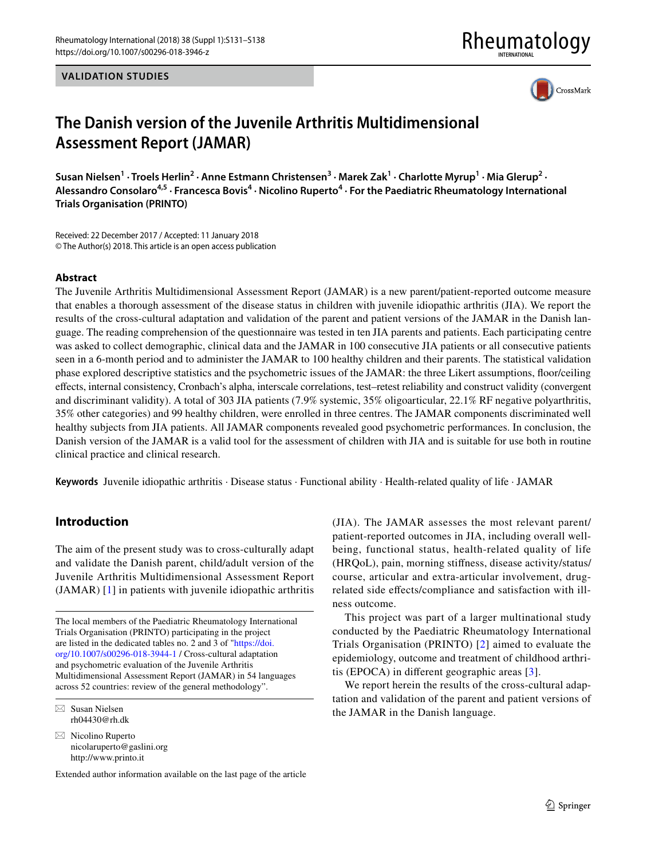**VALIDATION STUDIES**





# **The Danish version of the Juvenile Arthritis Multidimensional Assessment Report (JAMAR)**

Susan Nielsen<sup>1</sup> · Troels Herlin<sup>2</sup> · Anne Estmann Christensen<sup>3</sup> · Marek Zak<sup>1</sup> · Charlotte Myrup<sup>1</sup> · Mia Glerup<sup>2</sup> · Alessandro Consolaro<sup>4,5</sup> · Francesca Bovis<sup>4</sup> · Nicolino Ruperto<sup>4</sup> · For the Paediatric Rheumatology International **Trials Organisation (PRINTO)**

Received: 22 December 2017 / Accepted: 11 January 2018 © The Author(s) 2018. This article is an open access publication

#### **Abstract**

The Juvenile Arthritis Multidimensional Assessment Report (JAMAR) is a new parent/patient-reported outcome measure that enables a thorough assessment of the disease status in children with juvenile idiopathic arthritis (JIA). We report the results of the cross-cultural adaptation and validation of the parent and patient versions of the JAMAR in the Danish language. The reading comprehension of the questionnaire was tested in ten JIA parents and patients. Each participating centre was asked to collect demographic, clinical data and the JAMAR in 100 consecutive JIA patients or all consecutive patients seen in a 6-month period and to administer the JAMAR to 100 healthy children and their parents. The statistical validation phase explored descriptive statistics and the psychometric issues of the JAMAR: the three Likert assumptions, foor/ceiling efects, internal consistency, Cronbach's alpha, interscale correlations, test–retest reliability and construct validity (convergent and discriminant validity). A total of 303 JIA patients (7.9% systemic, 35% oligoarticular, 22.1% RF negative polyarthritis, 35% other categories) and 99 healthy children, were enrolled in three centres. The JAMAR components discriminated well healthy subjects from JIA patients. All JAMAR components revealed good psychometric performances. In conclusion, the Danish version of the JAMAR is a valid tool for the assessment of children with JIA and is suitable for use both in routine clinical practice and clinical research.

**Keywords** Juvenile idiopathic arthritis · Disease status · Functional ability · Health-related quality of life · JAMAR

# **Introduction**

The aim of the present study was to cross-culturally adapt and validate the Danish parent, child/adult version of the Juvenile Arthritis Multidimensional Assessment Report (JAMAR) [\[1](#page-6-0)] in patients with juvenile idiopathic arthritis

The local members of the Paediatric Rheumatology International Trials Organisation (PRINTO) participating in the project are listed in the dedicated tables no. 2 and 3 of "[https://doi.](https://doi.org/10.1007/s00296-018-3944-1) [org/10.1007/s00296-018-3944-1](https://doi.org/10.1007/s00296-018-3944-1) / Cross-cultural adaptation and psychometric evaluation of the Juvenile Arthritis Multidimensional Assessment Report (JAMAR) in 54 languages across 52 countries: review of the general methodology".

 $\boxtimes$  Susan Nielsen rh04430@rh.dk

 $\boxtimes$  Nicolino Ruperto nicolaruperto@gaslini.org http://www.printo.it

Extended author information available on the last page of the article

(JIA). The JAMAR assesses the most relevant parent/ patient-reported outcomes in JIA, including overall wellbeing, functional status, health-related quality of life (HRQoL), pain, morning stifness, disease activity/status/ course, articular and extra-articular involvement, drugrelated side efects/compliance and satisfaction with illness outcome.

This project was part of a larger multinational study conducted by the Paediatric Rheumatology International Trials Organisation (PRINTO) [[2](#page-6-1)] aimed to evaluate the epidemiology, outcome and treatment of childhood arthritis (EPOCA) in diferent geographic areas [[3](#page-6-2)].

We report herein the results of the cross-cultural adaptation and validation of the parent and patient versions of the JAMAR in the Danish language.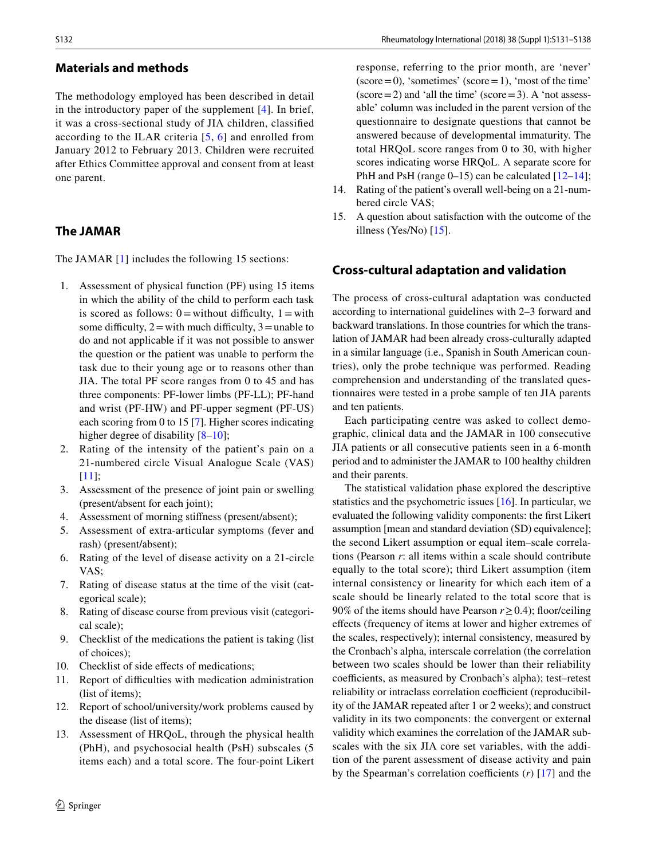# **Materials and methods**

The methodology employed has been described in detail in the introductory paper of the supplement [[4\]](#page-6-3). In brief, it was a cross-sectional study of JIA children, classifed according to the ILAR criteria [[5](#page-6-4), [6\]](#page-6-5) and enrolled from January 2012 to February 2013. Children were recruited after Ethics Committee approval and consent from at least one parent.

# **The JAMAR**

The JAMAR [[1](#page-6-0)] includes the following 15 sections:

- 1. Assessment of physical function (PF) using 15 items in which the ability of the child to perform each task is scored as follows:  $0 =$  without difficulty,  $1 =$  with some difficulty,  $2 =$  with much difficulty,  $3 =$ unable to do and not applicable if it was not possible to answer the question or the patient was unable to perform the task due to their young age or to reasons other than JIA. The total PF score ranges from 0 to 45 and has three components: PF-lower limbs (PF-LL); PF-hand and wrist (PF-HW) and PF-upper segment (PF-US) each scoring from 0 to 15 [\[7](#page-6-6)]. Higher scores indicating higher degree of disability [\[8](#page-6-7)[–10](#page-6-8)];
- 2. Rating of the intensity of the patient's pain on a 21-numbered circle Visual Analogue Scale (VAS) [\[11\]](#page-6-9);
- 3. Assessment of the presence of joint pain or swelling (present/absent for each joint);
- 4. Assessment of morning stifness (present/absent);
- 5. Assessment of extra-articular symptoms (fever and rash) (present/absent);
- 6. Rating of the level of disease activity on a 21-circle VAS;
- 7. Rating of disease status at the time of the visit (categorical scale);
- 8. Rating of disease course from previous visit (categorical scale);
- 9. Checklist of the medications the patient is taking (list of choices);
- 10. Checklist of side efects of medications;
- 11. Report of difficulties with medication administration (list of items);
- 12. Report of school/university/work problems caused by the disease (list of items);
- 13. Assessment of HRQoL, through the physical health (PhH), and psychosocial health (PsH) subscales (5 items each) and a total score. The four-point Likert

response, referring to the prior month, are 'never'  $(score=0)$ , 'sometimes'  $(score=1)$ , 'most of the time'  $(\text{score}=2)$  and 'all the time'  $(\text{score}=3)$ . A 'not assessable' column was included in the parent version of the questionnaire to designate questions that cannot be answered because of developmental immaturity. The total HRQoL score ranges from 0 to 30, with higher scores indicating worse HRQoL. A separate score for PhH and PsH (range  $0-15$ ) can be calculated  $[12-14]$  $[12-14]$  $[12-14]$ ;

- 14. Rating of the patient's overall well-being on a 21-numbered circle VAS;
- 15. A question about satisfaction with the outcome of the illness (Yes/No) [\[15](#page-6-12)].

# **Cross‑cultural adaptation and validation**

The process of cross-cultural adaptation was conducted according to international guidelines with 2–3 forward and backward translations. In those countries for which the translation of JAMAR had been already cross-culturally adapted in a similar language (i.e., Spanish in South American countries), only the probe technique was performed. Reading comprehension and understanding of the translated questionnaires were tested in a probe sample of ten JIA parents and ten patients.

Each participating centre was asked to collect demographic, clinical data and the JAMAR in 100 consecutive JIA patients or all consecutive patients seen in a 6-month period and to administer the JAMAR to 100 healthy children and their parents.

The statistical validation phase explored the descriptive statistics and the psychometric issues [\[16\]](#page-6-13). In particular, we evaluated the following validity components: the frst Likert assumption [mean and standard deviation (SD) equivalence]; the second Likert assumption or equal item–scale correlations (Pearson *r*: all items within a scale should contribute equally to the total score); third Likert assumption (item internal consistency or linearity for which each item of a scale should be linearly related to the total score that is 90% of the items should have Pearson *r*≥0.4); foor/ceiling efects (frequency of items at lower and higher extremes of the scales, respectively); internal consistency, measured by the Cronbach's alpha, interscale correlation (the correlation between two scales should be lower than their reliability coefficients, as measured by Cronbach's alpha); test–retest reliability or intraclass correlation coefficient (reproducibility of the JAMAR repeated after 1 or 2 weeks); and construct validity in its two components: the convergent or external validity which examines the correlation of the JAMAR subscales with the six JIA core set variables, with the addition of the parent assessment of disease activity and pain by the Spearman's correlation coefficients  $(r)$  [[17](#page-6-14)] and the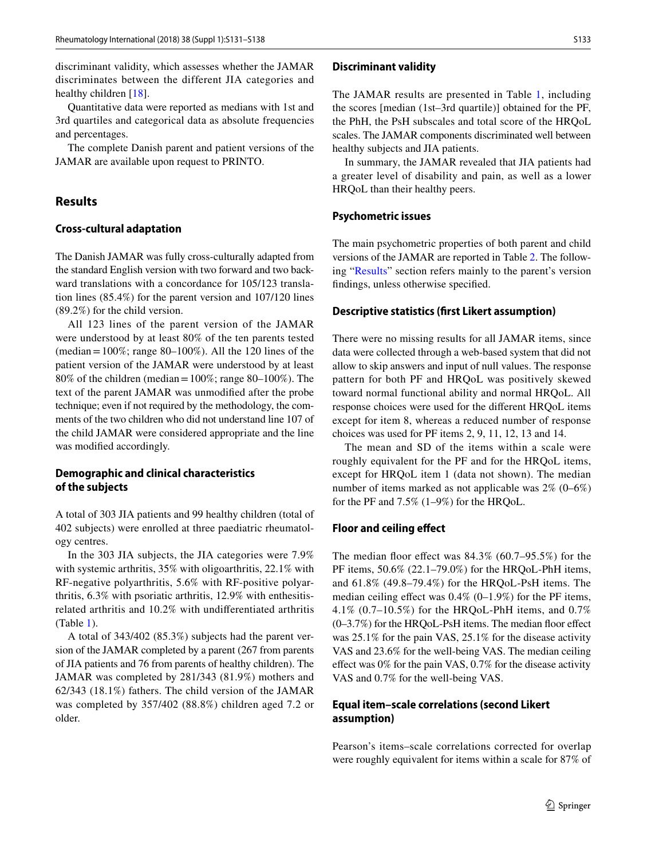discriminant validity, which assesses whether the JAMAR discriminates between the different JIA categories and healthy children [[18](#page-6-15)].

Quantitative data were reported as medians with 1st and 3rd quartiles and categorical data as absolute frequencies and percentages.

The complete Danish parent and patient versions of the JAMAR are available upon request to PRINTO.

# <span id="page-2-0"></span>**Results**

#### **Cross‑cultural adaptation**

The Danish JAMAR was fully cross-culturally adapted from the standard English version with two forward and two backward translations with a concordance for 105/123 translation lines (85.4%) for the parent version and 107/120 lines (89.2%) for the child version.

All 123 lines of the parent version of the JAMAR were understood by at least 80% of the ten parents tested (median =  $100\%$ ; range 80– $100\%$ ). All the 120 lines of the patient version of the JAMAR were understood by at least 80% of the children (median=100%; range 80–100%). The text of the parent JAMAR was unmodifed after the probe technique; even if not required by the methodology, the comments of the two children who did not understand line 107 of the child JAMAR were considered appropriate and the line was modifed accordingly.

# **Demographic and clinical characteristics of the subjects**

A total of 303 JIA patients and 99 healthy children (total of 402 subjects) were enrolled at three paediatric rheumatology centres.

In the 303 JIA subjects, the JIA categories were 7.9% with systemic arthritis, 35% with oligoarthritis, 22.1% with RF-negative polyarthritis, 5.6% with RF-positive polyarthritis, 6.3% with psoriatic arthritis, 12.9% with enthesitisrelated arthritis and 10.2% with undiferentiated arthritis (Table [1\)](#page-3-0).

A total of 343/402 (85.3%) subjects had the parent version of the JAMAR completed by a parent (267 from parents of JIA patients and 76 from parents of healthy children). The JAMAR was completed by 281/343 (81.9%) mothers and 62/343 (18.1%) fathers. The child version of the JAMAR was completed by 357/402 (88.8%) children aged 7.2 or older.

#### **Discriminant validity**

The JAMAR results are presented in Table [1,](#page-3-0) including the scores [median (1st–3rd quartile)] obtained for the PF, the PhH, the PsH subscales and total score of the HRQoL scales. The JAMAR components discriminated well between healthy subjects and JIA patients.

In summary, the JAMAR revealed that JIA patients had a greater level of disability and pain, as well as a lower HRQoL than their healthy peers.

#### **Psychometric issues**

The main psychometric properties of both parent and child versions of the JAMAR are reported in Table [2.](#page-4-0) The following "[Results"](#page-2-0) section refers mainly to the parent's version fndings, unless otherwise specifed.

#### **Descriptive statistics (frst Likert assumption)**

There were no missing results for all JAMAR items, since data were collected through a web-based system that did not allow to skip answers and input of null values. The response pattern for both PF and HRQoL was positively skewed toward normal functional ability and normal HRQoL. All response choices were used for the diferent HRQoL items except for item 8, whereas a reduced number of response choices was used for PF items 2, 9, 11, 12, 13 and 14.

The mean and SD of the items within a scale were roughly equivalent for the PF and for the HRQoL items, except for HRQoL item 1 (data not shown). The median number of items marked as not applicable was  $2\%$  (0–6%) for the PF and 7.5% (1–9%) for the HRQoL.

#### **Floor and ceiling efect**

The median floor effect was  $84.3\%$  (60.7–95.5%) for the PF items, 50.6% (22.1–79.0%) for the HRQoL-PhH items, and 61.8% (49.8–79.4%) for the HRQoL-PsH items. The median ceiling efect was 0.4% (0–1.9%) for the PF items, 4.1% (0.7–10.5%) for the HRQoL-PhH items, and 0.7%  $(0-3.7\%)$  for the HRQoL-PsH items. The median floor effect was 25.1% for the pain VAS, 25.1% for the disease activity VAS and 23.6% for the well-being VAS. The median ceiling efect was 0% for the pain VAS, 0.7% for the disease activity VAS and 0.7% for the well-being VAS.

### **Equal item–scale correlations (second Likert assumption)**

Pearson's items–scale correlations corrected for overlap were roughly equivalent for items within a scale for 87% of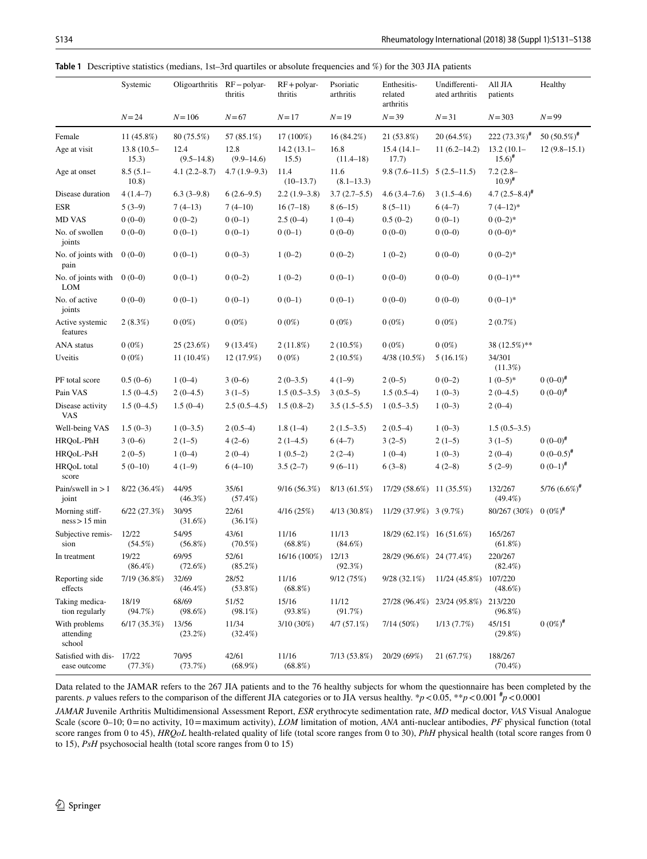<span id="page-3-0"></span>

|  | <b>Table 1</b> Descriptive statistics (medians, 1st–3rd quartiles or absolute frequencies and $\%$ ) for the 303 JIA patients |  |  |  |  |  |  |
|--|-------------------------------------------------------------------------------------------------------------------------------|--|--|--|--|--|--|
|--|-------------------------------------------------------------------------------------------------------------------------------|--|--|--|--|--|--|

|                                      | Systemic               | Oligoarthritis         | $RF$ - polyar-<br>thritis | $RF + polyar-$<br>thritis | Psoriatic<br>arthritis | Enthesitis-<br>related<br>arthritis | Undifferenti-<br>ated arthritis | All JIA<br>patients                  | Healthy               |
|--------------------------------------|------------------------|------------------------|---------------------------|---------------------------|------------------------|-------------------------------------|---------------------------------|--------------------------------------|-----------------------|
|                                      | $N = 24$               | $N = 106$              | $N = 67$                  | $N = 17$                  | $N = 19$               | $N = 39$                            | $N = 31$                        | $N = 303$                            | $N = 99$              |
| Female                               | 11 (45.8%)             | 80 (75.5%)             | 57 (85.1%)                | 17 (100%)                 | 16 (84.2%)             | 21 (53.8%)                          | 20(64.5%)                       | $222(73.3\%)^{\#}$                   | 50 $(50.5\%)^{\#}$    |
| Age at visit                         | $13.8(10.5 -$<br>15.3) | 12.4<br>$(9.5 - 14.8)$ | 12.8<br>$(9.9 - 14.6)$    | $14.2(13.1 -$<br>15.5)    | 16.8<br>$(11.4 - 18)$  | $15.4(14.1-$<br>17.7)               | $11(6.2 - 14.2)$                | $13.2(10.1 -$<br>$15.6$ <sup>#</sup> | $12(9.8-15.1)$        |
| Age at onset                         | $8.5(5.1 -$<br>10.8)   | $4.1(2.2 - 8.7)$       | $4.7(1.9-9.3)$            | 11.4<br>$(10-13.7)$       | 11.6<br>$(8.1 - 13.3)$ | $9.8(7.6-11.5)$ $5(2.5-11.5)$       |                                 | $7.2(2.8 -$<br>$10.9)$ <sup>#</sup>  |                       |
| Disease duration                     | $4(1.4-7)$             | $6.3(3-9.8)$           | $6(2.6-9.5)$              | $2.2(1.9-3.8)$            | $3.7(2.7-5.5)$         | $4.6(3.4 - 7.6)$                    | $3(1.5-4.6)$                    | 4.7 $(2.5-8.4)^{#}$                  |                       |
| <b>ESR</b>                           | $5(3-9)$               | $7(4-13)$              | $7(4-10)$                 | $16(7-18)$                | $8(6-15)$              | $8(5-11)$                           | $6(4-7)$                        | $7(4-12)*$                           |                       |
| <b>MD VAS</b>                        | $0(0-0)$               | $0(0-2)$               | $0(0-1)$                  | $2.5(0-4)$                | $1(0-4)$               | $0.5(0-2)$                          | $0(0-1)$                        | $0(0-2)$ *                           |                       |
| No. of swollen<br>joints             | $0(0-0)$               | $0(0-1)$               | $0(0-1)$                  | $0(0-1)$                  | $0(0-0)$               | $0(0-0)$                            | $0(0-0)$                        | $0(0-0)*$                            |                       |
| No. of joints with<br>pain           | $0(0-0)$               | $0(0-1)$               | $0(0-3)$                  | $1(0-2)$                  | $0(0-2)$               | $1(0-2)$                            | $0(0-0)$                        | $0(0-2)$ *                           |                       |
| No. of joints with<br><b>LOM</b>     | $0(0-0)$               | $0(0-1)$               | $0(0-2)$                  | $1(0-2)$                  | $0(0-1)$               | $0(0-0)$                            | $0(0-0)$                        | $0(0-1)$ **                          |                       |
| No. of active<br>joints              | $0(0-0)$               | $0(0-1)$               | $0(0-1)$                  | $0(0-1)$                  | $0(0-1)$               | $0(0-0)$                            | $0(0-0)$                        | $0(0-1)$ *                           |                       |
| Active systemic<br>features          | 2(8.3%)                | $0(0\%)$               | $0(0\%)$                  | $0(0\%)$                  | $0(0\%)$               | $0(0\%)$                            | $0(0\%)$                        | 2(0.7%)                              |                       |
| <b>ANA</b> status                    | $0(0\%)$               | 25 (23.6%)             | $9(13.4\%)$               | 2(11.8%)                  | $2(10.5\%)$            | $0(0\%)$                            | $0(0\%)$                        | 38 (12.5%)**                         |                       |
| Uveitis                              | $0(0\%)$               | 11 (10.4%)             | 12 (17.9%)                | $0(0\%)$                  | $2(10.5\%)$            | 4/38 (10.5%)                        | $5(16.1\%)$                     | 34/301<br>(11.3%)                    |                       |
| PF total score                       | $0.5(0-6)$             | $1(0-4)$               | $3(0-6)$                  | $2(0-3.5)$                | $4(1-9)$               | $2(0-5)$                            | $0(0-2)$                        | $1(0-5)*$                            | $0(0-0)^{\#}$         |
| Pain VAS                             | $1.5(0-4.5)$           | $2(0-4.5)$             | $3(1-5)$                  | $1.5(0.5-3.5)$            | $3(0.5-5)$             | $1.5(0.5-4)$                        | $1(0-3)$                        | $2(0-4.5)$                           | $0(0-0)^{\#}$         |
| Disease activity<br><b>VAS</b>       | $1.5(0-4.5)$           | $1.5(0-4)$             | $2.5(0.5-4.5)$            | $1.5(0.8-2)$              | $3.5(1.5-5.5)$         | $1(0.5-3.5)$                        | $1(0-3)$                        | $2(0-4)$                             |                       |
| Well-being VAS                       | $1.5(0-3)$             | $1(0-3.5)$             | $2(0.5-4)$                | $1.8(1-4)$                | $2(1.5-3.5)$           | $2(0.5-4)$                          | $1(0-3)$                        | $1.5(0.5-3.5)$                       |                       |
| HRQoL-PhH                            | $3(0-6)$               | $2(1-5)$               | $4(2-6)$                  | $2(1-4.5)$                | $6(4-7)$               | $3(2-5)$                            | $2(1-5)$                        | $3(1-5)$                             | $0(0-0)^{*}$          |
| HRQoL-PsH                            | $2(0-5)$               | $1(0-4)$               | $2(0-4)$                  | $1(0.5-2)$                | $2(2-4)$               | $1(0-4)$                            | $1(0-3)$                        | $2(0-4)$                             | $0(0-0.5)^{\#}$       |
| HRQoL total<br>score                 | $5(0-10)$              | $4(1-9)$               | $6(4-10)$                 | $3.5(2-7)$                | $9(6-11)$              | $6(3-8)$                            | $4(2-8)$                        | $5(2-9)$                             | $0(0-1)^{#}$          |
| Pain/swell in $>1$<br>joint          | $8/22(36.4\%)$         | 44/95<br>$(46.3\%)$    | 35/61<br>(57.4%)          | 9/16(56.3%)               | 8/13(61.5%)            | 17/29 (58.6%) 11 (35.5%)            |                                 | 132/267<br>$(49.4\%)$                | $5/76$ $(6.6\%)^{\#}$ |
| Morning stiff-<br>ness > 15 min      | 6/22(27.3%)            | 30/95<br>(31.6%)       | 22/61<br>$(36.1\%)$       | 4/16(25%)                 | 4/13(30.8%)            | $11/29$ (37.9%) 3 (9.7%)            |                                 | 80/267 (30%)                         | $0(0\%)^{\#}$         |
| Subjective remis-<br>sion            | 12/22<br>$(54.5\%)$    | 54/95<br>$(56.8\%)$    | 43/61<br>(70.5%)          | 11/16<br>$(68.8\%)$       | 11/13<br>$(84.6\%)$    | $18/29(62.1\%)$ 16 (51.6%)          |                                 | 165/267<br>(61.8%)                   |                       |
| In treatment                         | 19/22<br>$(86.4\%)$    | 69/95<br>(72.6%)       | 52/61<br>(85.2%)          | 16/16 (100%)              | 12/13<br>(92.3%)       | 28/29 (96.6%) 24 (77.4%)            |                                 | 220/267<br>$(82.4\%)$                |                       |
| Reporting side<br>effects            | 7/19 (36.8%)           | 32/69<br>$(46.4\%)$    | 28/52<br>(53.8%)          | 11/16<br>$(68.8\%)$       | 9/12(75%)              | $9/28(32.1\%)$                      | 11/24 (45.8%)                   | 107/220<br>(48.6%)                   |                       |
| Taking medica-<br>tion regularly     | 18/19<br>(94.7%)       | 68/69<br>(98.6%)       | 51/52<br>$(98.1\%)$       | 15/16<br>(93.8%)          | 11/12<br>(91.7%)       | 27/28 (96.4%)                       | 23/24 (95.8%)                   | 213/220<br>$(96.8\%)$                |                       |
| With problems<br>attending<br>school | 6/17(35.3%)            | 13/56<br>(23.2%)       | 11/34<br>$(32.4\%)$       | $3/10(30\%)$              | 4/7 (57.1%)            | 7/14 (50%)                          | 1/13(7.7%)                      | 45/151<br>(29.8%)                    | $0(0\%)^{\#}$         |
| Satisfied with dis-<br>ease outcome  | 17/22<br>(77.3%)       | 70/95<br>(73.7%)       | 42/61<br>$(68.9\%)$       | 11/16<br>$(68.8\%)$       | 7/13(53.8%)            | 20/29 (69%)                         | 21 (67.7%)                      | 188/267<br>$(70.4\%)$                |                       |

Data related to the JAMAR refers to the 267 JIA patients and to the 76 healthy subjects for whom the questionnaire has been completed by the parents. *p* values refers to the comparison of the diferent JIA categories or to JIA versus healthy. \**p*<0.05, \*\**p*<0.001 **#** *p*<0.0001

*JAMAR* Juvenile Arthritis Multidimensional Assessment Report, *ESR* erythrocyte sedimentation rate, *MD* medical doctor, *VAS* Visual Analogue Scale (score 0–10; 0=no activity, 10=maximum activity), *LOM* limitation of motion, *ANA* anti-nuclear antibodies, *PF* physical function (total score ranges from 0 to 45), *HRQoL* health-related quality of life (total score ranges from 0 to 30), *PhH* physical health (total score ranges from 0 to 15), *PsH* psychosocial health (total score ranges from 0 to 15)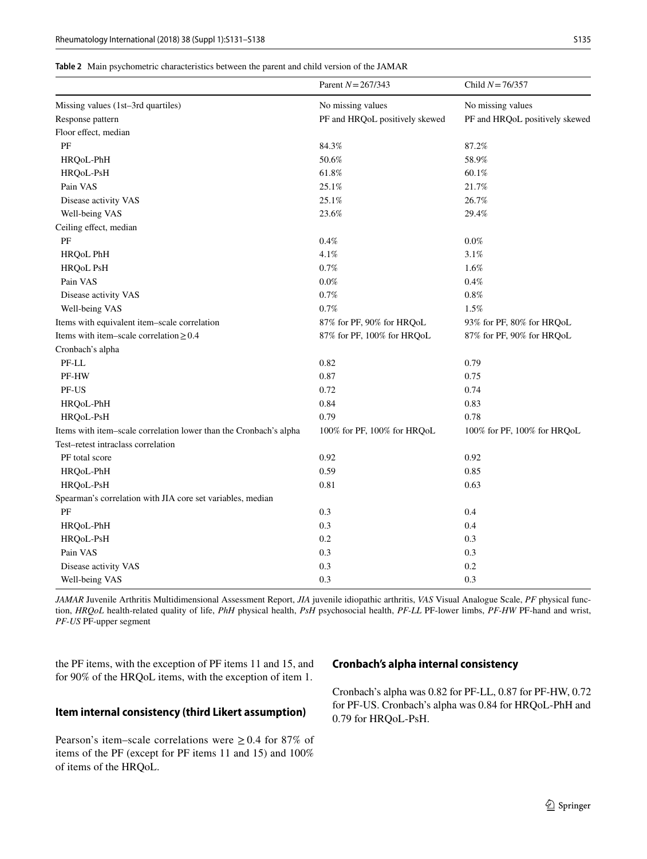<span id="page-4-0"></span>

|  |  | <b>Table 2</b> Main psychometric characteristics between the parent and child version of the JAMAR |  |  |  |  |  |  |
|--|--|----------------------------------------------------------------------------------------------------|--|--|--|--|--|--|
|--|--|----------------------------------------------------------------------------------------------------|--|--|--|--|--|--|

|                                                                   | Parent $N = 267/343$              | Child $N = 76/357$                |
|-------------------------------------------------------------------|-----------------------------------|-----------------------------------|
| Missing values (1st-3rd quartiles)                                | No missing values                 | No missing values                 |
| Response pattern                                                  | PF and HRQoL positively skewed    | PF and HRQoL positively skewed    |
| Floor effect, median                                              |                                   |                                   |
| PF                                                                | 84.3%                             | 87.2%                             |
| HRQoL-PhH                                                         | 50.6%                             | 58.9%                             |
| HRQoL-PsH                                                         | 61.8%                             | 60.1%                             |
| Pain VAS                                                          | 25.1%                             | 21.7%                             |
| Disease activity VAS                                              | 25.1%                             | 26.7%                             |
| Well-being VAS                                                    | 23.6%                             | 29.4%                             |
| Ceiling effect, median                                            |                                   |                                   |
| PF                                                                | 0.4%                              | $0.0\%$                           |
| HRQoL PhH                                                         | 4.1%                              | 3.1%                              |
| <b>HRQoL PsH</b>                                                  | 0.7%                              | 1.6%                              |
| Pain VAS                                                          | $0.0\%$                           | $0.4\%$                           |
| Disease activity VAS                                              | $0.7\%$                           | $0.8\%$                           |
| Well-being VAS                                                    | 0.7%                              | 1.5%                              |
| Items with equivalent item-scale correlation                      | 87% for PF, 90% for HRQoL         | 93% for PF, 80% for HRQoL         |
| Items with item-scale correlation $\geq 0.4$                      | 87% for PF, 100% for HRQoL        | 87% for PF, 90% for HRQoL         |
| Cronbach's alpha                                                  |                                   |                                   |
| PF-LL                                                             | 0.82                              | 0.79                              |
| PF-HW                                                             | 0.87                              | 0.75                              |
| PF-US                                                             | 0.72                              | 0.74                              |
| HRQoL-PhH                                                         | 0.84                              | 0.83                              |
| HRQoL-PsH                                                         | 0.79                              | 0.78                              |
| Items with item-scale correlation lower than the Cronbach's alpha | $100\%$ for PF, $100\%$ for HRQoL | $100\%$ for PF, $100\%$ for HRQoL |
| Test-retest intraclass correlation                                |                                   |                                   |
| PF total score                                                    | 0.92                              | 0.92                              |
| HRQoL-PhH                                                         | 0.59                              | 0.85                              |
| HRQoL-PsH                                                         | 0.81                              | 0.63                              |
| Spearman's correlation with JIA core set variables, median        |                                   |                                   |
| PF                                                                | 0.3                               | 0.4                               |
| HRQoL-PhH                                                         | 0.3                               | 0.4                               |
| HRQoL-PsH                                                         | 0.2                               | 0.3                               |
| Pain VAS                                                          | 0.3                               | 0.3                               |
| Disease activity VAS                                              | 0.3                               | 0.2                               |
| Well-being VAS                                                    | 0.3                               | 0.3                               |

*JAMAR* Juvenile Arthritis Multidimensional Assessment Report, *JIA* juvenile idiopathic arthritis, *VAS* Visual Analogue Scale, *PF* physical function, *HRQoL* health-related quality of life, *PhH* physical health, *PsH* psychosocial health, *PF-LL* PF-lower limbs, *PF-HW* PF-hand and wrist, *PF-US* PF-upper segment

the PF items, with the exception of PF items 11 and 15, and for 90% of the HRQoL items, with the exception of item 1.

#### **Item internal consistency (third Likert assumption)**

Pearson's item–scale correlations were  $\geq 0.4$  for 87% of items of the PF (except for PF items 11 and 15) and 100% of items of the HRQoL.

### **Cronbach's alpha internal consistency**

Cronbach's alpha was 0.82 for PF-LL, 0.87 for PF-HW, 0.72 for PF-US. Cronbach's alpha was 0.84 for HRQoL-PhH and 0.79 for HRQoL-PsH.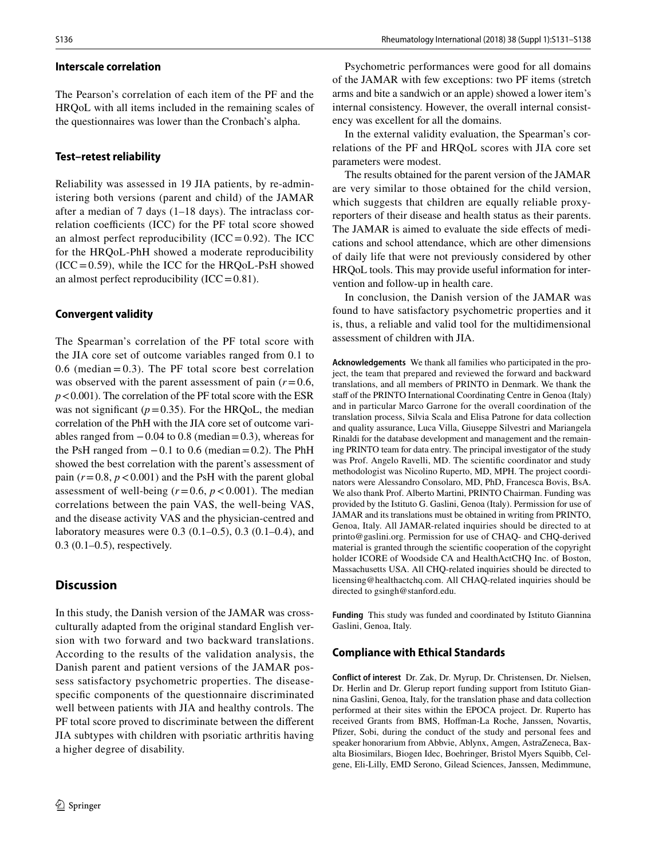### **Interscale correlation**

The Pearson's correlation of each item of the PF and the HRQoL with all items included in the remaining scales of the questionnaires was lower than the Cronbach's alpha.

# **Test–retest reliability**

Reliability was assessed in 19 JIA patients, by re-administering both versions (parent and child) of the JAMAR after a median of 7 days (1–18 days). The intraclass correlation coefficients (ICC) for the PF total score showed an almost perfect reproducibility  $(ICC=0.92)$ . The ICC for the HRQoL-PhH showed a moderate reproducibility  $(ICC=0.59)$ , while the ICC for the HRQoL-PsH showed an almost perfect reproducibility  $(ICC=0.81)$ .

### **Convergent validity**

The Spearman's correlation of the PF total score with the JIA core set of outcome variables ranged from 0.1 to 0.6 (median  $= 0.3$ ). The PF total score best correlation was observed with the parent assessment of pain  $(r=0.6,$ *p*<0.001). The correlation of the PF total score with the ESR was not significant  $(p=0.35)$ . For the HRQoL, the median correlation of the PhH with the JIA core set of outcome variables ranged from  $-0.04$  to 0.8 (median = 0.3), whereas for the PsH ranged from  $-0.1$  to 0.6 (median = 0.2). The PhH showed the best correlation with the parent's assessment of pain  $(r=0.8, p<0.001)$  and the PsH with the parent global assessment of well-being  $(r=0.6, p<0.001)$ . The median correlations between the pain VAS, the well-being VAS, and the disease activity VAS and the physician-centred and laboratory measures were 0.3 (0.1–0.5), 0.3 (0.1–0.4), and 0.3 (0.1–0.5), respectively.

# **Discussion**

In this study, the Danish version of the JAMAR was crossculturally adapted from the original standard English version with two forward and two backward translations. According to the results of the validation analysis, the Danish parent and patient versions of the JAMAR possess satisfactory psychometric properties. The diseasespecifc components of the questionnaire discriminated well between patients with JIA and healthy controls. The PF total score proved to discriminate between the diferent JIA subtypes with children with psoriatic arthritis having a higher degree of disability.

Psychometric performances were good for all domains of the JAMAR with few exceptions: two PF items (stretch arms and bite a sandwich or an apple) showed a lower item's internal consistency. However, the overall internal consistency was excellent for all the domains.

In the external validity evaluation, the Spearman's correlations of the PF and HRQoL scores with JIA core set parameters were modest.

The results obtained for the parent version of the JAMAR are very similar to those obtained for the child version, which suggests that children are equally reliable proxyreporters of their disease and health status as their parents. The JAMAR is aimed to evaluate the side efects of medications and school attendance, which are other dimensions of daily life that were not previously considered by other HRQoL tools. This may provide useful information for intervention and follow-up in health care.

In conclusion, the Danish version of the JAMAR was found to have satisfactory psychometric properties and it is, thus, a reliable and valid tool for the multidimensional assessment of children with JIA.

**Acknowledgements** We thank all families who participated in the project, the team that prepared and reviewed the forward and backward translations, and all members of PRINTO in Denmark. We thank the staff of the PRINTO International Coordinating Centre in Genoa (Italy) and in particular Marco Garrone for the overall coordination of the translation process, Silvia Scala and Elisa Patrone for data collection and quality assurance, Luca Villa, Giuseppe Silvestri and Mariangela Rinaldi for the database development and management and the remaining PRINTO team for data entry. The principal investigator of the study was Prof. Angelo Ravelli, MD. The scientifc coordinator and study methodologist was Nicolino Ruperto, MD, MPH. The project coordinators were Alessandro Consolaro, MD, PhD, Francesca Bovis, BsA. We also thank Prof. Alberto Martini, PRINTO Chairman. Funding was provided by the Istituto G. Gaslini, Genoa (Italy). Permission for use of JAMAR and its translations must be obtained in writing from PRINTO, Genoa, Italy. All JAMAR-related inquiries should be directed to at printo@gaslini.org. Permission for use of CHAQ- and CHQ-derived material is granted through the scientifc cooperation of the copyright holder ICORE of Woodside CA and HealthActCHQ Inc. of Boston, Massachusetts USA. All CHQ-related inquiries should be directed to licensing@healthactchq.com. All CHAQ-related inquiries should be directed to gsingh@stanford.edu.

**Funding** This study was funded and coordinated by Istituto Giannina Gaslini, Genoa, Italy.

#### **Compliance with Ethical Standards**

**Conflict of interest** Dr. Zak, Dr. Myrup, Dr. Christensen, Dr. Nielsen, Dr. Herlin and Dr. Glerup report funding support from Istituto Giannina Gaslini, Genoa, Italy, for the translation phase and data collection performed at their sites within the EPOCA project. Dr. Ruperto has received Grants from BMS, Hofman-La Roche, Janssen, Novartis, Pfzer, Sobi, during the conduct of the study and personal fees and speaker honorarium from Abbvie, Ablynx, Amgen, AstraZeneca, Baxalta Biosimilars, Biogen Idec, Boehringer, Bristol Myers Squibb, Celgene, Eli-Lilly, EMD Serono, Gilead Sciences, Janssen, Medimmune,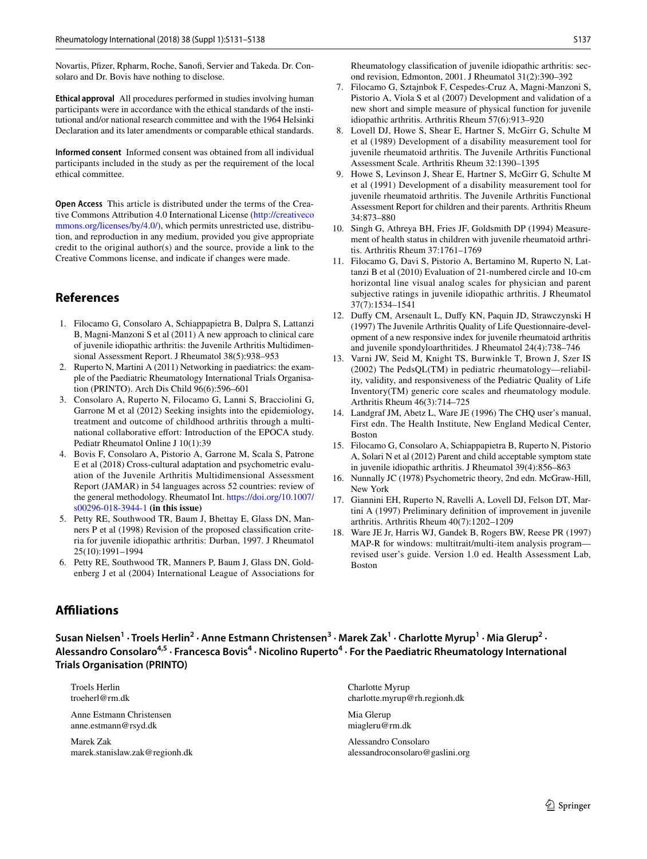Novartis, Pfizer, Rpharm, Roche, Sanofi, Servier and Takeda. Dr. Consolaro and Dr. Bovis have nothing to disclose.

**Ethical approval** All procedures performed in studies involving human participants were in accordance with the ethical standards of the institutional and/or national research committee and with the 1964 Helsinki Declaration and its later amendments or comparable ethical standards.

**Informed consent** Informed consent was obtained from all individual participants included in the study as per the requirement of the local ethical committee.

**Open Access** This article is distributed under the terms of the Creative Commons Attribution 4.0 International License [\(http://creativeco](http://creativecommons.org/licenses/by/4.0/) [mmons.org/licenses/by/4.0/](http://creativecommons.org/licenses/by/4.0/)), which permits unrestricted use, distribution, and reproduction in any medium, provided you give appropriate credit to the original author(s) and the source, provide a link to the Creative Commons license, and indicate if changes were made.

# **References**

- <span id="page-6-0"></span>1. Filocamo G, Consolaro A, Schiappapietra B, Dalpra S, Lattanzi B, Magni-Manzoni S et al (2011) A new approach to clinical care of juvenile idiopathic arthritis: the Juvenile Arthritis Multidimensional Assessment Report. J Rheumatol 38(5):938–953
- <span id="page-6-1"></span>2. Ruperto N, Martini A (2011) Networking in paediatrics: the example of the Paediatric Rheumatology International Trials Organisation (PRINTO). Arch Dis Child 96(6):596–601
- <span id="page-6-2"></span>3. Consolaro A, Ruperto N, Filocamo G, Lanni S, Bracciolini G, Garrone M et al (2012) Seeking insights into the epidemiology, treatment and outcome of childhood arthritis through a multinational collaborative efort: Introduction of the EPOCA study. Pediatr Rheumatol Online J 10(1):39
- <span id="page-6-3"></span>4. Bovis F, Consolaro A, Pistorio A, Garrone M, Scala S, Patrone E et al (2018) Cross-cultural adaptation and psychometric evaluation of the Juvenile Arthritis Multidimensional Assessment Report (JAMAR) in 54 languages across 52 countries: review of the general methodology. Rheumatol Int. [https://doi.org/10.1007/](https://doi.org/10.1007/s00296-018-3944-1) [s00296-018-3944-1](https://doi.org/10.1007/s00296-018-3944-1) **(in this issue)**
- <span id="page-6-4"></span>5. Petty RE, Southwood TR, Baum J, Bhettay E, Glass DN, Manners P et al (1998) Revision of the proposed classifcation criteria for juvenile idiopathic arthritis: Durban, 1997. J Rheumatol 25(10):1991–1994
- <span id="page-6-5"></span>6. Petty RE, Southwood TR, Manners P, Baum J, Glass DN, Goldenberg J et al (2004) International League of Associations for

Rheumatology classifcation of juvenile idiopathic arthritis: second revision, Edmonton, 2001. J Rheumatol 31(2):390–392

- <span id="page-6-6"></span>7. Filocamo G, Sztajnbok F, Cespedes-Cruz A, Magni-Manzoni S, Pistorio A, Viola S et al (2007) Development and validation of a new short and simple measure of physical function for juvenile idiopathic arthritis. Arthritis Rheum 57(6):913–920
- <span id="page-6-7"></span>8. Lovell DJ, Howe S, Shear E, Hartner S, McGirr G, Schulte M et al (1989) Development of a disability measurement tool for juvenile rheumatoid arthritis. The Juvenile Arthritis Functional Assessment Scale. Arthritis Rheum 32:1390–1395
- 9. Howe S, Levinson J, Shear E, Hartner S, McGirr G, Schulte M et al (1991) Development of a disability measurement tool for juvenile rheumatoid arthritis. The Juvenile Arthritis Functional Assessment Report for children and their parents. Arthritis Rheum 34:873–880
- <span id="page-6-8"></span>10. Singh G, Athreya BH, Fries JF, Goldsmith DP (1994) Measurement of health status in children with juvenile rheumatoid arthritis. Arthritis Rheum 37:1761–1769
- <span id="page-6-9"></span>11. Filocamo G, Davi S, Pistorio A, Bertamino M, Ruperto N, Lattanzi B et al (2010) Evaluation of 21-numbered circle and 10-cm horizontal line visual analog scales for physician and parent subjective ratings in juvenile idiopathic arthritis. J Rheumatol 37(7):1534–1541
- <span id="page-6-10"></span>12. Dufy CM, Arsenault L, Dufy KN, Paquin JD, Strawczynski H (1997) The Juvenile Arthritis Quality of Life Questionnaire-development of a new responsive index for juvenile rheumatoid arthritis and juvenile spondyloarthritides. J Rheumatol 24(4):738–746
- 13. Varni JW, Seid M, Knight TS, Burwinkle T, Brown J, Szer IS (2002) The PedsQL(TM) in pediatric rheumatology—reliability, validity, and responsiveness of the Pediatric Quality of Life Inventory(TM) generic core scales and rheumatology module. Arthritis Rheum 46(3):714–725
- <span id="page-6-11"></span>14. Landgraf JM, Abetz L, Ware JE (1996) The CHQ user's manual, First edn. The Health Institute, New England Medical Center, Boston
- <span id="page-6-12"></span>15. Filocamo G, Consolaro A, Schiappapietra B, Ruperto N, Pistorio A, Solari N et al (2012) Parent and child acceptable symptom state in juvenile idiopathic arthritis. J Rheumatol 39(4):856–863
- <span id="page-6-13"></span>16. Nunnally JC (1978) Psychometric theory, 2nd edn. McGraw-Hill, New York
- <span id="page-6-14"></span>17. Giannini EH, Ruperto N, Ravelli A, Lovell DJ, Felson DT, Martini A (1997) Preliminary defnition of improvement in juvenile arthritis. Arthritis Rheum 40(7):1202–1209
- <span id="page-6-15"></span>18. Ware JE Jr, Harris WJ, Gandek B, Rogers BW, Reese PR (1997) MAP-R for windows: multitrait/multi-item analysis program revised user's guide. Version 1.0 ed. Health Assessment Lab, Boston

# **Afliations**

Susan Nielsen<sup>1</sup> · Troels Herlin<sup>2</sup> · Anne Estmann Christensen<sup>3</sup> · Marek Zak<sup>1</sup> · Charlotte Myrup<sup>1</sup> · Mia Glerup<sup>2</sup> · Alessandro Consolaro<sup>4,5</sup> · Francesca Bovis<sup>4</sup> · Nicolino Ruperto<sup>4</sup> · For the Paediatric Rheumatology International **Trials Organisation (PRINTO)**

Troels Herlin troeherl@rm.dk

Anne Estmann Christensen anne.estmann@rsyd.dk

Marek Zak marek.stanislaw.zak@regionh.dk Charlotte Myrup charlotte.myrup@rh.regionh.dk

Mia Glerup miagleru@rm.dk

Alessandro Consolaro alessandroconsolaro@gaslini.org